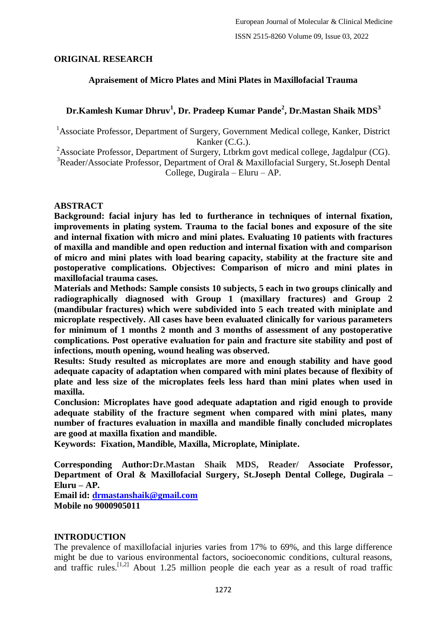# **ORIGINAL RESEARCH**

## **Apraisement of Micro Plates and Mini Plates in Maxillofacial Trauma**

# **Dr.Kamlesh Kumar Dhruv<sup>1</sup> , Dr. Pradeep Kumar Pande<sup>2</sup> , Dr.Mastan Shaik MDS<sup>3</sup>**

<sup>1</sup>Associate Professor, Department of Surgery, Government Medical college, Kanker, District Kanker (C.G.).

<sup>2</sup>Associate Professor, Department of Surgery, Ltbrkm govt medical college, Jagdalpur (CG).

<sup>3</sup>Reader/Associate Professor, Department of Oral & Maxillofacial Surgery, St.Joseph Dental College, Dugirala – Eluru – AP.

#### **ABSTRACT**

**Background: facial injury has led to furtherance in techniques of internal fixation, improvements in plating system. Trauma to the facial bones and exposure of the site and internal fixation with micro and mini plates. Evaluating 10 patients with fractures of maxilla and mandible and open reduction and internal fixation with and comparison of micro and mini plates with load bearing capacity, stability at the fracture site and postoperative complications. Objectives: Comparison of micro and mini plates in maxillofacial trauma cases.**

**Materials and Methods: Sample consists 10 subjects, 5 each in two groups clinically and radiographically diagnosed with Group 1 (maxillary fractures) and Group 2 (mandibular fractures) which were subdivided into 5 each treated with miniplate and microplate respectively. All cases have been evaluated clinically for various parameters for minimum of 1 months 2 month and 3 months of assessment of any postoperative complications. Post operative evaluation for pain and fracture site stability and post of infections, mouth opening, wound healing was observed.**

**Results: Study resulted as microplates are more and enough stability and have good adequate capacity of adaptation when compared with mini plates because of flexibity of plate and less size of the microplates feels less hard than mini plates when used in maxilla.**

**Conclusion: Microplates have good adequate adaptation and rigid enough to provide adequate stability of the fracture segment when compared with mini plates, many number of fractures evaluation in maxilla and mandible finally concluded microplates are good at maxilla fixation and mandible.**

**Keywords: Fixation, Mandible, Maxilla, Microplate, Miniplate.**

**Corresponding Author:Dr.Mastan Shaik MDS, Reader/ Associate Professor, Department of Oral & Maxillofacial Surgery, St.Joseph Dental College, Dugirala – Eluru – AP.**

**Email id: [drmastanshaik@gmail.com](mailto:drmastanshaik@gmail.com) Mobile no 9000905011**

# **INTRODUCTION**

The prevalence of maxillofacial injuries varies from 17% to 69%, and this large difference might be due to various environmental factors, socioeconomic conditions, cultural reasons, and traffic rules.[1,2] About 1.25 million people die each year as a result of road traffic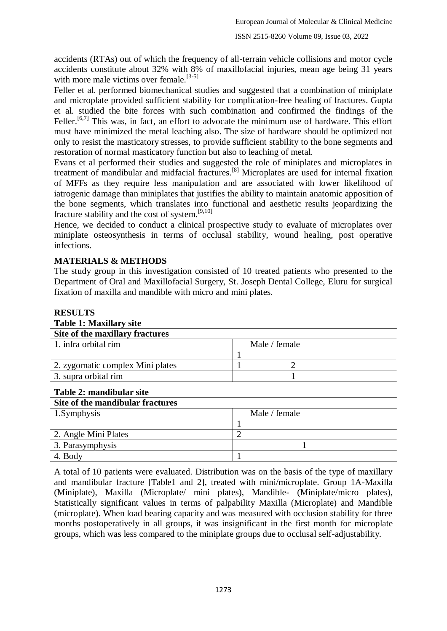accidents (RTAs) out of which the frequency of all-terrain vehicle collisions and motor cycle accidents constitute about 32% with 8% of maxillofacial injuries, mean age being 31 years with more male victims over female.  $[3-5]$ 

Feller et al. performed biomechanical studies and suggested that a combination of miniplate and microplate provided sufficient stability for complication-free healing of fractures. Gupta et al. studied the bite forces with such combination and confirmed the findings of the Feller.<sup>[6,7]</sup> This was, in fact, an effort to advocate the minimum use of hardware. This effort must have minimized the metal leaching also. The size of hardware should be optimized not only to resist the masticatory stresses, to provide sufficient stability to the bone segments and restoration of normal masticatory function but also to leaching of metal.

Evans et al performed their studies and suggested the role of miniplates and microplates in treatment of mandibular and midfacial fractures.[8] Microplates are used for internal fixation of MFFs as they require less manipulation and are associated with lower likelihood of iatrogenic damage than miniplates that justifies the ability to maintain anatomic apposition of the bone segments, which translates into functional and aesthetic results jeopardizing the fracture stability and the cost of system.<sup>[9,10]</sup>

Hence, we decided to conduct a clinical prospective study to evaluate of microplates over miniplate osteosynthesis in terms of occlusal stability, wound healing, post operative infections.

# **MATERIALS & METHODS**

The study group in this investigation consisted of 10 treated patients who presented to the Department of Oral and Maxillofacial Surgery, St. Joseph Dental College, Eluru for surgical fixation of maxilla and mandible with micro and mini plates.

## **RESULTS Table 1: Maxillary site Site of the maxillary fractures** 1. infra orbital rim Male / female 1 2. zygomatic complex Mini plates 1 2 3. supra orbital rim 1

# **Table 2: mandibular site**

| Site of the mandibular fractures |               |
|----------------------------------|---------------|
| 1.Symphysis                      | Male / female |
|                                  |               |
| 2. Angle Mini Plates             |               |
| 3. Parasymphysis                 |               |
| 4. Body                          |               |

A total of 10 patients were evaluated. Distribution was on the basis of the type of maxillary and mandibular fracture [Table1 and 2], treated with mini/microplate. Group 1A-Maxilla (Miniplate), Maxilla (Microplate/ mini plates), Mandible- (Miniplate/micro plates), Statistically significant values in terms of palpability Maxilla (Microplate) and Mandible (microplate). When load bearing capacity and was measured with occlusion stability for three months postoperatively in all groups, it was insignificant in the first month for microplate groups, which was less compared to the miniplate groups due to occlusal self-adjustability.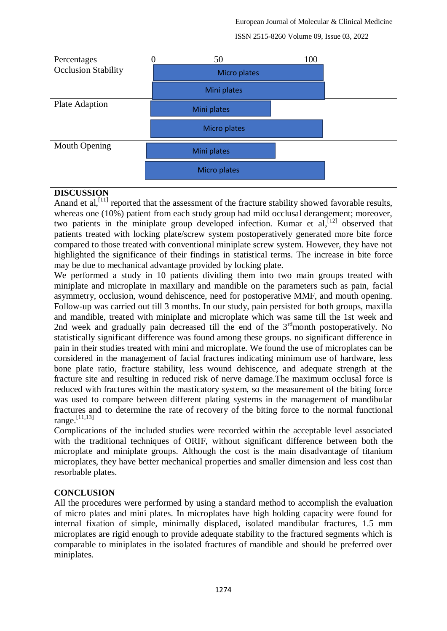European Journal of Molecular & Clinical Medicine





#### **DISCUSSION**

Anand et al,  $[11]$  reported that the assessment of the fracture stability showed favorable results, whereas one (10%) patient from each study group had mild occlusal derangement; moreover, two patients in the miniplate group developed infection. Kumar et  $al$ ,  $[12]$  observed that patients treated with locking plate/screw system postoperatively generated more bite force compared to those treated with conventional miniplate screw system. However, they have not highlighted the significance of their findings in statistical terms. The increase in bite force may be due to mechanical advantage provided by locking plate.

We performed a study in 10 patients dividing them into two main groups treated with miniplate and microplate in maxillary and mandible on the parameters such as pain, facial asymmetry, occlusion, wound dehiscence, need for postoperative MMF, and mouth opening. Follow-up was carried out till 3 months. In our study, pain persisted for both groups, maxilla and mandible, treated with miniplate and microplate which was same till the 1st week and 2nd week and gradually pain decreased till the end of the  $3<sup>rd</sup>$  month postoperatively. No statistically significant difference was found among these groups. no significant difference in pain in their studies treated with mini and microplate. We found the use of microplates can be considered in the management of facial fractures indicating minimum use of hardware, less bone plate ratio, fracture stability, less wound dehiscence, and adequate strength at the fracture site and resulting in reduced risk of nerve damage.The maximum occlusal force is reduced with fractures within the masticatory system, so the measurement of the biting force was used to compare between different plating systems in the management of mandibular fractures and to determine the rate of recovery of the biting force to the normal functional range.[11,13]

Complications of the included studies were recorded within the acceptable level associated with the traditional techniques of ORIF, without significant difference between both the microplate and miniplate groups. Although the cost is the main disadvantage of titanium microplates, they have better mechanical properties and smaller dimension and less cost than resorbable plates.

#### **CONCLUSION**

All the procedures were performed by using a standard method to accomplish the evaluation of micro plates and mini plates. In microplates have high holding capacity were found for internal fixation of simple, minimally displaced, isolated mandibular fractures, 1.5 mm microplates are rigid enough to provide adequate stability to the fractured segments which is comparable to miniplates in the isolated fractures of mandible and should be preferred over miniplates.